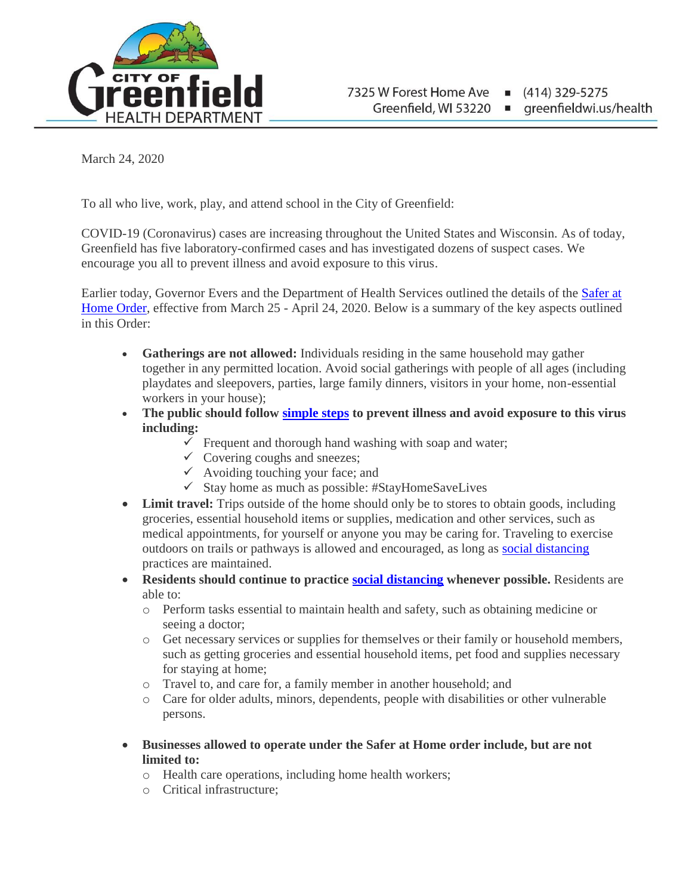

March 24, 2020

To all who live, work, play, and attend school in the City of Greenfield:

COVID-19 (Coronavirus) cases are increasing throughout the United States and Wisconsin. As of today, Greenfield has five laboratory-confirmed cases and has investigated dozens of suspect cases. We encourage you all to prevent illness and avoid exposure to this virus.

Earlier today, Governor Evers and the Department of Health Services outlined the details of the [Safer at](https://evers.wi.gov/Documents/COVID19/EMO12-SaferAtHome.pdf)  [Home Order,](https://evers.wi.gov/Documents/COVID19/EMO12-SaferAtHome.pdf) effective from March 25 - April 24, 2020. Below is a summary of the key aspects outlined in this Order:

- **Gatherings are not allowed:** Individuals residing in the same household may gather together in any permitted location. Avoid social gatherings with people of all ages (including playdates and sleepovers, parties, large family dinners, visitors in your home, non-essential workers in your house);
- **The public should follow [simple steps](https://www.cdc.gov/coronavirus/2019-ncov/prepare/prevention.html) to prevent illness and avoid exposure to this virus including:**
	- $\checkmark$  Frequent and thorough hand washing with soap and water;
	- $\checkmark$  Covering coughs and sneezes;
	- $\checkmark$  Avoiding touching your face; and
	- $\checkmark$  Stay home as much as possible: #StayHomeSaveLives
- Limit travel: Trips outside of the home should only be to stores to obtain goods, including groceries, essential household items or supplies, medication and other services, such as medical appointments, for yourself or anyone you may be caring for. Traveling to exercise outdoors on trails or pathways is allowed and encouraged, as long as [social distancing](https://www.dhs.wisconsin.gov/publications/p02620b.pdf?fbclid=IwAR3Sj6mht4IImK7JoJZRZDhAmQAnIrNUw_z37Ozp3VSr9Nv4RBpOz9Td45I) practices are maintained.
- **Residents should continue to practice [social distancing](https://www.dhs.wisconsin.gov/publications/p02620b.pdf?fbclid=IwAR3Sj6mht4IImK7JoJZRZDhAmQAnIrNUw_z37Ozp3VSr9Nv4RBpOz9Td45I) whenever possible.** Residents are able to:
	- o Perform tasks essential to maintain health and safety, such as obtaining medicine or seeing a doctor;
	- o Get necessary services or supplies for themselves or their family or household members, such as getting groceries and essential household items, pet food and supplies necessary for staying at home;
	- o Travel to, and care for, a family member in another household; and
	- o Care for older adults, minors, dependents, people with disabilities or other vulnerable persons.
- **Businesses allowed to operate under the Safer at Home order include, but are not limited to:**
	- o Health care operations, including home health workers;
	- o Critical infrastructure;